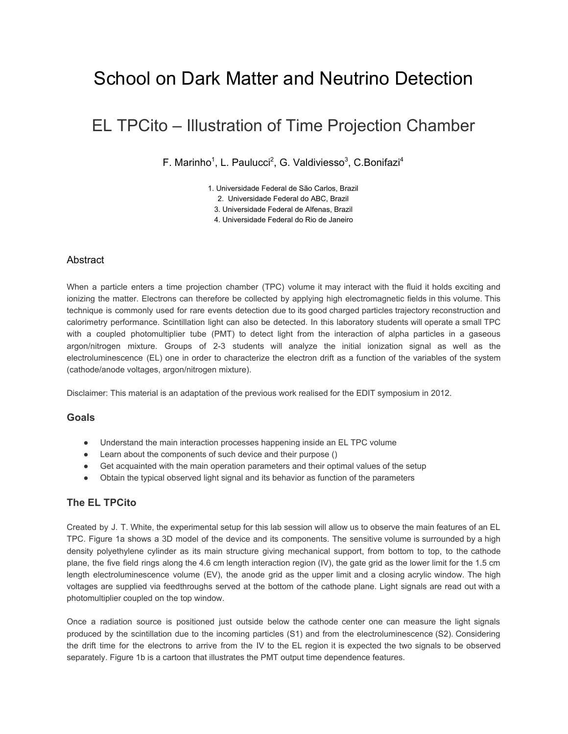# School on Dark Matter and Neutrino Detection

## EL TPCito – Illustration of Time Projection Chamber

F. Marinho<sup>1</sup>, L. Paulucci<sup>2</sup>, G. Valdiviesso<sup>3</sup>, C. Bonifazi<sup>4</sup>

1. Universidade Federal de São Carlos, Brazil

2. Universidade Federal do ABC, Brazil

3. Universidade Federal de Alfenas, Brazil

4. Universidade Federal do Rio de Janeiro

#### **Abstract**

When a particle enters a time projection chamber (TPC) volume it may interact with the fluid it holds exciting and ionizing the matter. Electrons can therefore be collected by applying high electromagnetic fields in this volume. This technique is commonly used for rare events detection due to its good charged particles trajectory reconstruction and calorimetry performance. Scintillation light can also be detected. In this laboratory students will operate a small TPC with a coupled photomultiplier tube (PMT) to detect light from the interaction of alpha particles in a gaseous argon/nitrogen mixture. Groups of 2-3 students will analyze the initial ionization signal as well as the electroluminescence (EL) one in order to characterize the electron drift as a function of the variables of the system (cathode/anode voltages, argon/nitrogen mixture).

Disclaimer: This material is an adaptation of the previous work realised for the EDIT symposium in 2012.

#### **Goals**

- Understand the main interaction processes happening inside an EL TPC volume
- Learn about the components of such device and their purpose ()
- Get acquainted with the main operation parameters and their optimal values of the setup
- Obtain the typical observed light signal and its behavior as function of the parameters

### **The EL TPCito**

Created by J. T. White, the experimental setup for this lab session will allow us to observe the main features of an EL TPC. Figure 1a shows a 3D model of the device and its components. The sensitive volume is surrounded by a high density polyethylene cylinder as its main structure giving mechanical support, from bottom to top, to the cathode plane, the five field rings along the 4.6 cm length interaction region (IV), the gate grid as the lower limit for the 1.5 cm length electroluminescence volume (EV), the anode grid as the upper limit and a closing acrylic window. The high voltages are supplied via feedthroughs served at the bottom of the cathode plane. Light signals are read out with a photomultiplier coupled on the top window.

Once a radiation source is positioned just outside below the cathode center one can measure the light signals produced by the scintillation due to the incoming particles (S1) and from the electroluminescence (S2). Considering the drift time for the electrons to arrive from the IV to the EL region it is expected the two signals to be observed separately. Figure 1b is a cartoon that illustrates the PMT output time dependence features.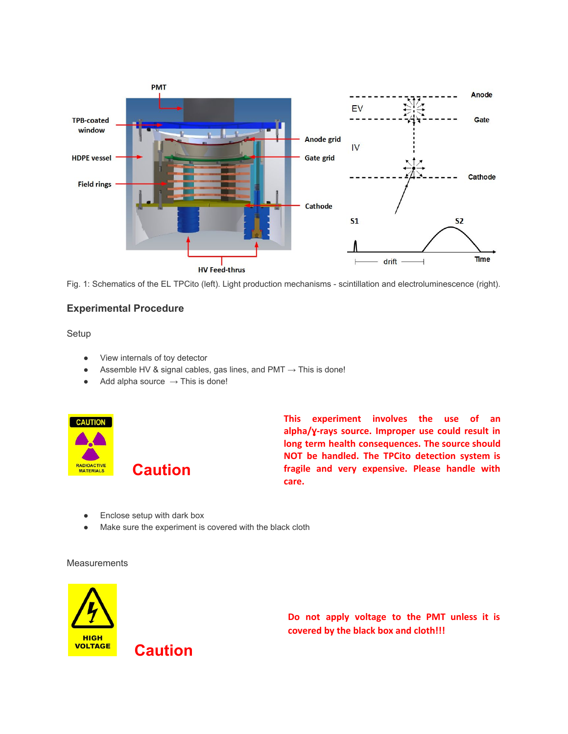

Fig. 1: Schematics of the EL TPCito (left). Light production mechanisms - scintillation and electroluminescence (right).

### **Experimental Procedure**

Setup

- View internals of toy detector
- $\bullet$  Assemble HV & signal cables, gas lines, and PMT  $\rightarrow$  This is done!
- $\bullet$  Add alpha source  $\rightarrow$  This is done!

**Caution**

**Caution**



**This experiment involves the use of an alpha/**ɣ**-rays source. Improper use could result in long term health consequences. The source should NOT be handled. The TPCito detection system is fragile and very expensive. Please handle with care.**

- Enclose setup with dark box
- Make sure the experiment is covered with the black cloth

#### **Measurements**



**Do not apply voltage to the PMT unless it is covered by the black box and cloth!!!**